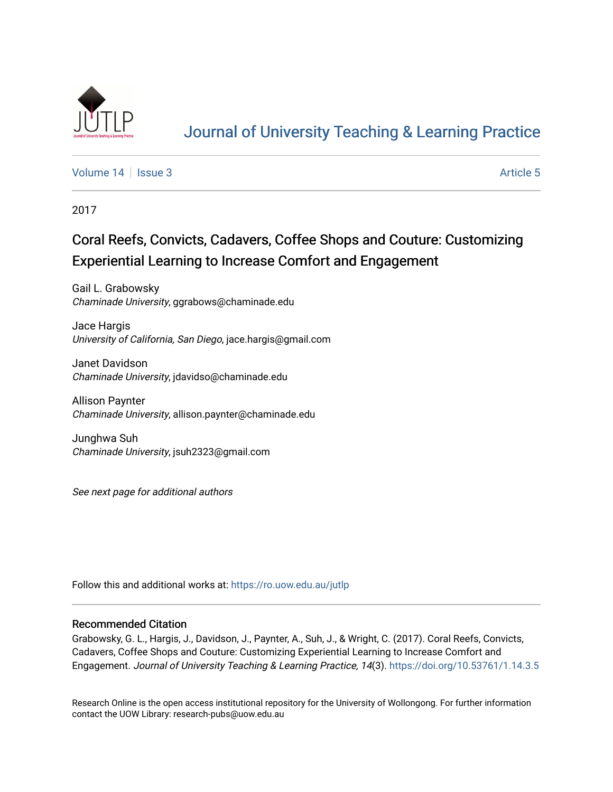

# [Journal of University Teaching & Learning Practice](https://ro.uow.edu.au/jutlp)

[Volume 14](https://ro.uow.edu.au/jutlp/vol14) Sexue 3 [Article 5](https://ro.uow.edu.au/jutlp/vol14/iss3/5) Article 5

2017

## Coral Reefs, Convicts, Cadavers, Coffee Shops and Couture: Customizing Experiential Learning to Increase Comfort and Engagement

Gail L. Grabowsky Chaminade University, ggrabows@chaminade.edu

Jace Hargis University of California, San Diego, jace.hargis@gmail.com

Janet Davidson Chaminade University, jdavidso@chaminade.edu

Allison Paynter Chaminade University, allison.paynter@chaminade.edu

Junghwa Suh Chaminade University, jsuh2323@gmail.com

See next page for additional authors

Follow this and additional works at: [https://ro.uow.edu.au/jutlp](https://ro.uow.edu.au/jutlp?utm_source=ro.uow.edu.au%2Fjutlp%2Fvol14%2Fiss3%2F5&utm_medium=PDF&utm_campaign=PDFCoverPages) 

### Recommended Citation

Grabowsky, G. L., Hargis, J., Davidson, J., Paynter, A., Suh, J., & Wright, C. (2017). Coral Reefs, Convicts, Cadavers, Coffee Shops and Couture: Customizing Experiential Learning to Increase Comfort and Engagement. Journal of University Teaching & Learning Practice, 14(3).<https://doi.org/10.53761/1.14.3.5>

Research Online is the open access institutional repository for the University of Wollongong. For further information contact the UOW Library: research-pubs@uow.edu.au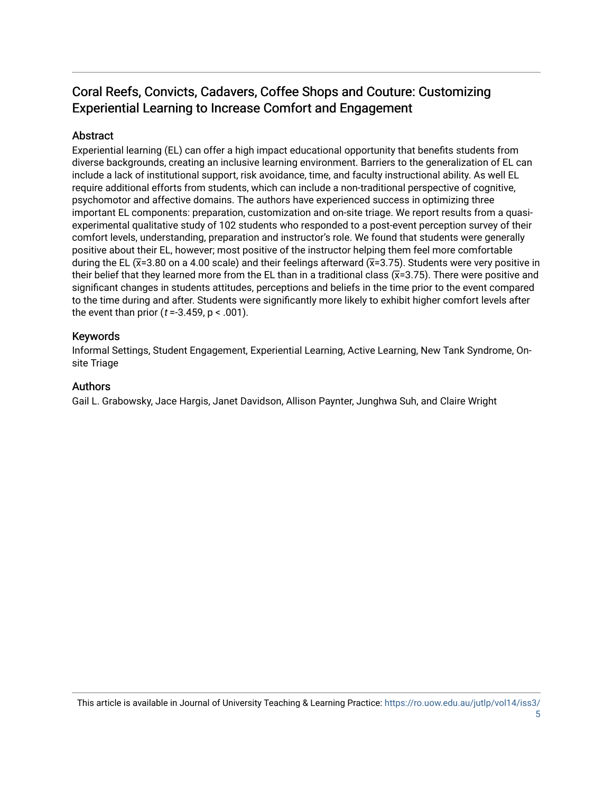## Coral Reefs, Convicts, Cadavers, Coffee Shops and Couture: Customizing Experiential Learning to Increase Comfort and Engagement

## Abstract

Experiential learning (EL) can offer a high impact educational opportunity that benefits students from diverse backgrounds, creating an inclusive learning environment. Barriers to the generalization of EL can include a lack of institutional support, risk avoidance, time, and faculty instructional ability. As well EL require additional efforts from students, which can include a non-traditional perspective of cognitive, psychomotor and affective domains. The authors have experienced success in optimizing three important EL components: preparation, customization and on-site triage. We report results from a quasiexperimental qualitative study of 102 students who responded to a post-event perception survey of their comfort levels, understanding, preparation and instructor's role. We found that students were generally positive about their EL, however; most positive of the instructor helping them feel more comfortable during the EL ( $\bar{x}$ =3.80 on a 4.00 scale) and their feelings afterward ( $\bar{x}$ =3.75). Students were very positive in their belief that they learned more from the EL than in a traditional class  $(\overline{x}=3.75)$ . There were positive and significant changes in students attitudes, perceptions and beliefs in the time prior to the event compared to the time during and after. Students were significantly more likely to exhibit higher comfort levels after the event than prior ( $t = -3.459$ ,  $p < .001$ ).

## Keywords

Informal Settings, Student Engagement, Experiential Learning, Active Learning, New Tank Syndrome, Onsite Triage

## Authors

Gail L. Grabowsky, Jace Hargis, Janet Davidson, Allison Paynter, Junghwa Suh, and Claire Wright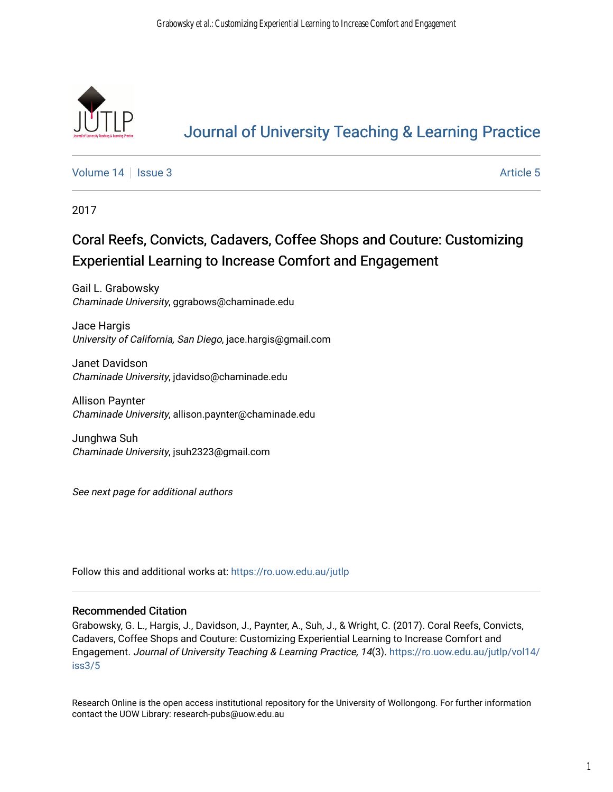

# [Journal of University Teaching & Learning Practice](https://ro.uow.edu.au/jutlp)

[Volume 14](https://ro.uow.edu.au/jutlp/vol14) Sexue 3 [Article 5](https://ro.uow.edu.au/jutlp/vol14/iss3/5) Article 5

2017

# Coral Reefs, Convicts, Cadavers, Coffee Shops and Couture: Customizing Experiential Learning to Increase Comfort and Engagement

Gail L. Grabowsky Chaminade University, ggrabows@chaminade.edu

Jace Hargis University of California, San Diego, jace.hargis@gmail.com

Janet Davidson Chaminade University, jdavidso@chaminade.edu

Allison Paynter Chaminade University, allison.paynter@chaminade.edu

Junghwa Suh Chaminade University, jsuh2323@gmail.com

See next page for additional authors

Follow this and additional works at: [https://ro.uow.edu.au/jutlp](https://ro.uow.edu.au/jutlp?utm_source=ro.uow.edu.au%2Fjutlp%2Fvol14%2Fiss3%2F5&utm_medium=PDF&utm_campaign=PDFCoverPages) 

## Recommended Citation

Grabowsky, G. L., Hargis, J., Davidson, J., Paynter, A., Suh, J., & Wright, C. (2017). Coral Reefs, Convicts, Cadavers, Coffee Shops and Couture: Customizing Experiential Learning to Increase Comfort and Engagement. Journal of University Teaching & Learning Practice, 14(3). [https://ro.uow.edu.au/jutlp/vol14/](https://ro.uow.edu.au/jutlp/vol14/iss3/5?utm_source=ro.uow.edu.au%2Fjutlp%2Fvol14%2Fiss3%2F5&utm_medium=PDF&utm_campaign=PDFCoverPages) [iss3/5](https://ro.uow.edu.au/jutlp/vol14/iss3/5?utm_source=ro.uow.edu.au%2Fjutlp%2Fvol14%2Fiss3%2F5&utm_medium=PDF&utm_campaign=PDFCoverPages)

Research Online is the open access institutional repository for the University of Wollongong. For further information contact the UOW Library: research-pubs@uow.edu.au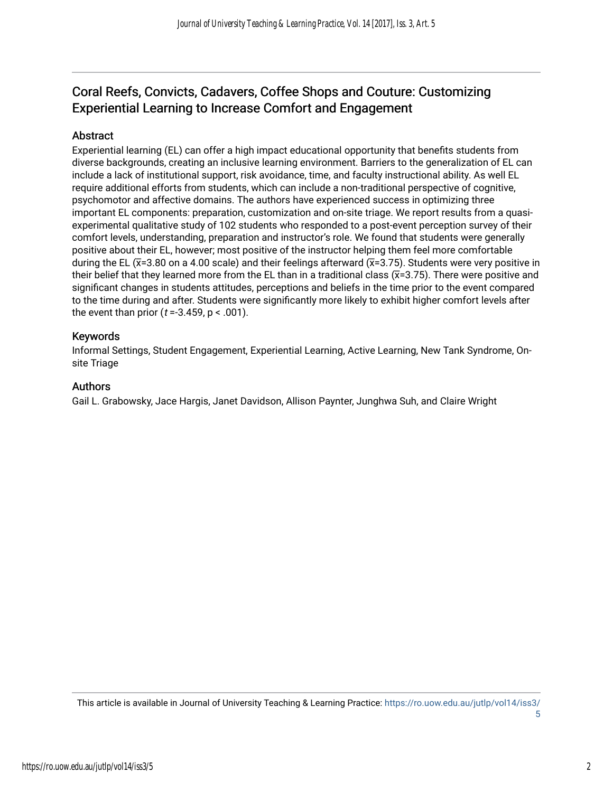## Coral Reefs, Convicts, Cadavers, Coffee Shops and Couture: Customizing Experiential Learning to Increase Comfort and Engagement

## **Abstract**

Experiential learning (EL) can offer a high impact educational opportunity that benefits students from diverse backgrounds, creating an inclusive learning environment. Barriers to the generalization of EL can include a lack of institutional support, risk avoidance, time, and faculty instructional ability. As well EL require additional efforts from students, which can include a non-traditional perspective of cognitive, psychomotor and affective domains. The authors have experienced success in optimizing three important EL components: preparation, customization and on-site triage. We report results from a quasiexperimental qualitative study of 102 students who responded to a post-event perception survey of their comfort levels, understanding, preparation and instructor's role. We found that students were generally positive about their EL, however; most positive of the instructor helping them feel more comfortable during the EL ( $\bar{x}$ =3.80 on a 4.00 scale) and their feelings afterward ( $\bar{x}$ =3.75). Students were very positive in their belief that they learned more from the EL than in a traditional class  $(\overline{x}=3.75)$ . There were positive and significant changes in students attitudes, perceptions and beliefs in the time prior to the event compared to the time during and after. Students were significantly more likely to exhibit higher comfort levels after the event than prior ( $t = -3.459$ ,  $p < .001$ ).

## Keywords

Informal Settings, Student Engagement, Experiential Learning, Active Learning, New Tank Syndrome, Onsite Triage

## Authors

Gail L. Grabowsky, Jace Hargis, Janet Davidson, Allison Paynter, Junghwa Suh, and Claire Wright

This article is available in Journal of University Teaching & Learning Practice: [https://ro.uow.edu.au/jutlp/vol14/iss3/](https://ro.uow.edu.au/jutlp/vol14/iss3/5)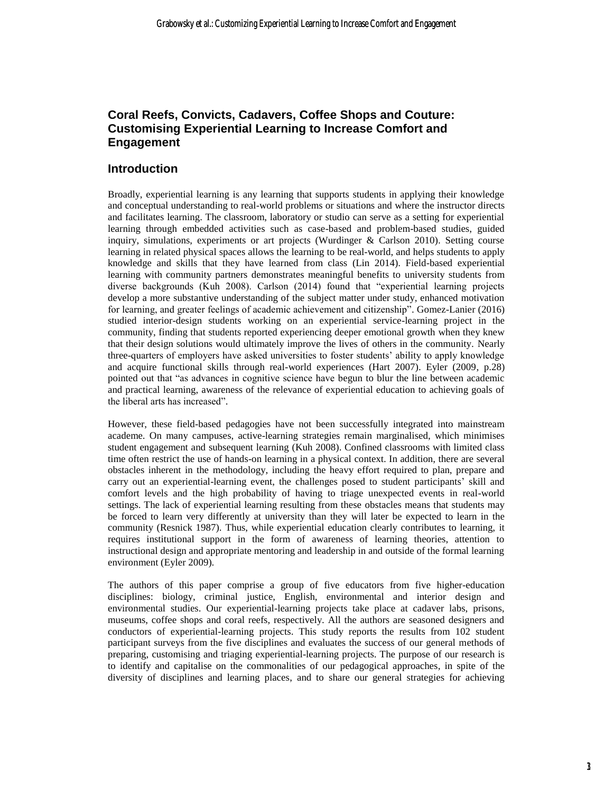## **Coral Reefs, Convicts, Cadavers, Coffee Shops and Couture: Customising Experiential Learning to Increase Comfort and Engagement**

## **Introduction**

Broadly, experiential learning is any learning that supports students in applying their knowledge and conceptual understanding to real-world problems or situations and where the instructor directs and facilitates learning. The classroom, laboratory or studio can serve as a setting for experiential learning through embedded activities such as case-based and problem-based studies, guided inquiry, simulations, experiments or art projects (Wurdinger & Carlson 2010). Setting course learning in related physical spaces allows the learning to be real-world, and helps students to apply knowledge and skills that they have learned from class (Lin 2014). Field-based experiential learning with community partners demonstrates meaningful benefits to university students from diverse backgrounds (Kuh 2008). Carlson (2014) found that "experiential learning projects develop a more substantive understanding of the subject matter under study, enhanced motivation for learning, and greater feelings of academic achievement and citizenship". Gomez-Lanier (2016) studied interior-design students working on an experiential service-learning project in the community, finding that students reported experiencing deeper emotional growth when they knew that their design solutions would ultimately improve the lives of others in the community. Nearly three-quarters of employers have asked universities to foster students' ability to apply knowledge and acquire functional skills through real-world experiences (Hart 2007). Eyler (2009, p.28) pointed out that "as advances in cognitive science have begun to blur the line between academic and practical learning, awareness of the relevance of experiential education to achieving goals of the liberal arts has increased".

However, these field-based pedagogies have not been successfully integrated into mainstream academe. On many campuses, active-learning strategies remain marginalised, which minimises student engagement and subsequent learning (Kuh 2008). Confined classrooms with limited class time often restrict the use of hands-on learning in a physical context. In addition, there are several obstacles inherent in the methodology, including the heavy effort required to plan, prepare and carry out an experiential-learning event, the challenges posed to student participants' skill and comfort levels and the high probability of having to triage unexpected events in real-world settings. The lack of experiential learning resulting from these obstacles means that students may be forced to learn very differently at university than they will later be expected to learn in the community (Resnick 1987). Thus, while experiential education clearly contributes to learning, it requires institutional support in the form of awareness of learning theories, attention to instructional design and appropriate mentoring and leadership in and outside of the formal learning environment (Eyler 2009).

The authors of this paper comprise a group of five educators from five higher-education disciplines: biology, criminal justice, English, environmental and interior design and environmental studies. Our experiential-learning projects take place at cadaver labs, prisons, museums, coffee shops and coral reefs, respectively. All the authors are seasoned designers and conductors of experiential-learning projects. This study reports the results from 102 student participant surveys from the five disciplines and evaluates the success of our general methods of preparing, customising and triaging experiential-learning projects. The purpose of our research is to identify and capitalise on the commonalities of our pedagogical approaches, in spite of the diversity of disciplines and learning places, and to share our general strategies for achieving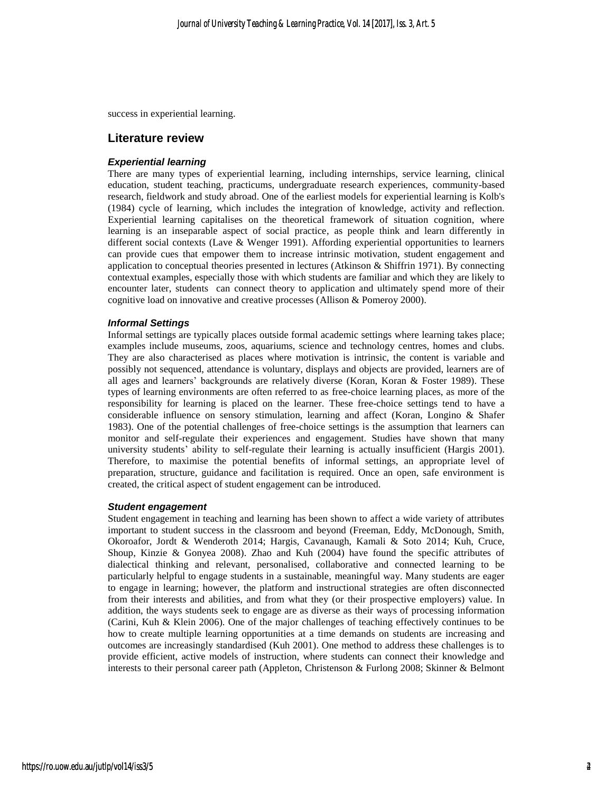success in experiential learning.

#### **Literature review**

#### *Experiential learning*

There are many types of experiential learning, including internships, service learning, clinical education, student teaching, practicums, undergraduate research experiences, community-based research, fieldwork and study abroad. One of the earliest models for experiential learning is Kolb's (1984) cycle of learning, which includes the integration of knowledge, activity and reflection. Experiential learning capitalises on the theoretical framework of situation cognition, where learning is an inseparable aspect of social practice, as people think and learn differently in different social contexts (Lave & Wenger 1991). Affording experiential opportunities to learners can provide cues that empower them to increase intrinsic motivation, student engagement and application to conceptual theories presented in lectures (Atkinson & Shiffrin 1971). By connecting contextual examples, especially those with which students are familiar and which they are likely to encounter later, students can connect theory to application and ultimately spend more of their cognitive load on innovative and creative processes (Allison & Pomeroy 2000).

#### *Informal Settings*

Informal settings are typically places outside formal academic settings where learning takes place; examples include museums, zoos, aquariums, science and technology centres, homes and clubs. They are also characterised as places where motivation is intrinsic, the content is variable and possibly not sequenced, attendance is voluntary, displays and objects are provided, learners are of all ages and learners' backgrounds are relatively diverse (Koran, Koran & Foster 1989). These types of learning environments are often referred to as free-choice learning places, as more of the responsibility for learning is placed on the learner. These free-choice settings tend to have a considerable influence on sensory stimulation, learning and affect (Koran, Longino & Shafer 1983). One of the potential challenges of free-choice settings is the assumption that learners can monitor and self-regulate their experiences and engagement. Studies have shown that many university students' ability to self-regulate their learning is actually insufficient (Hargis 2001). Therefore, to maximise the potential benefits of informal settings, an appropriate level of preparation, structure, guidance and facilitation is required. Once an open, safe environment is created, the critical aspect of student engagement can be introduced.

#### *Student engagement*

Student engagement in teaching and learning has been shown to affect a wide variety of attributes important to student success in the classroom and beyond (Freeman, Eddy, McDonough, Smith, Okoroafor, Jordt & Wenderoth 2014; Hargis, Cavanaugh, Kamali & Soto 2014; Kuh, Cruce, Shoup, Kinzie & Gonyea 2008). Zhao and Kuh (2004) have found the specific attributes of dialectical thinking and relevant, personalised, collaborative and connected learning to be particularly helpful to engage students in a sustainable, meaningful way. Many students are eager to engage in learning; however, the platform and instructional strategies are often disconnected from their interests and abilities, and from what they (or their prospective employers) value. In addition, the ways students seek to engage are as diverse as their ways of processing information (Carini, Kuh & Klein 2006). One of the major challenges of teaching effectively continues to be how to create multiple learning opportunities at a time demands on students are increasing and outcomes are increasingly standardised (Kuh 2001). One method to address these challenges is to provide efficient, active models of instruction, where students can connect their knowledge and interests to their personal career path (Appleton, Christenson & Furlong 2008; Skinner & Belmont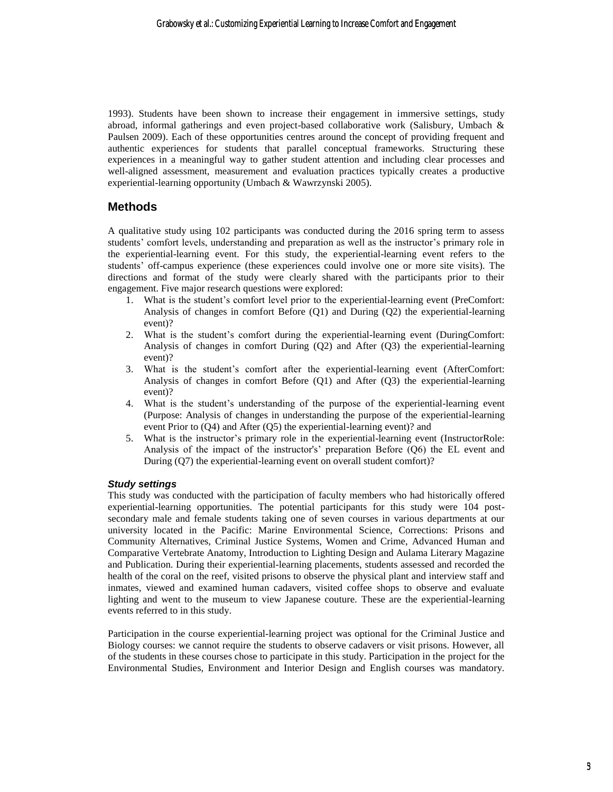1993). Students have been shown to increase their engagement in immersive settings, study abroad, informal gatherings and even project-based collaborative work (Salisbury, Umbach & Paulsen 2009). Each of these opportunities centres around the concept of providing frequent and authentic experiences for students that parallel conceptual frameworks. Structuring these experiences in a meaningful way to gather student attention and including clear processes and well-aligned assessment, measurement and evaluation practices typically creates a productive experiential-learning opportunity (Umbach & Wawrzynski 2005).

## **Methods**

A qualitative study using 102 participants was conducted during the 2016 spring term to assess students' comfort levels, understanding and preparation as well as the instructor's primary role in the experiential-learning event. For this study, the experiential-learning event refers to the students' off-campus experience (these experiences could involve one or more site visits). The directions and format of the study were clearly shared with the participants prior to their engagement. Five major research questions were explored:

- 1. What is the student's comfort level prior to the experiential-learning event (PreComfort: Analysis of changes in comfort Before (Q1) and During (Q2) the experiential-learning event)?
- 2. What is the student's comfort during the experiential-learning event (DuringComfort: Analysis of changes in comfort During (Q2) and After (Q3) the experiential-learning event)?
- 3. What is the student's comfort after the experiential-learning event (AfterComfort: Analysis of changes in comfort Before (Q1) and After (Q3) the experiential-learning event)?
- 4. What is the student's understanding of the purpose of the experiential-learning event (Purpose: Analysis of changes in understanding the purpose of the experiential-learning event Prior to (Q4) and After (Q5) the experiential-learning event)? and
- 5. What is the instructor's primary role in the experiential-learning event (InstructorRole: Analysis of the impact of the instructor's' preparation Before (Q6) the EL event and During (Q7) the experiential-learning event on overall student comfort)?

### *Study settings*

This study was conducted with the participation of faculty members who had historically offered experiential-learning opportunities. The potential participants for this study were 104 postsecondary male and female students taking one of seven courses in various departments at our university located in the Pacific: Marine Environmental Science, Corrections: Prisons and Community Alternatives, Criminal Justice Systems, Women and Crime, Advanced Human and Comparative Vertebrate Anatomy, Introduction to Lighting Design and Aulama Literary Magazine and Publication. During their experiential-learning placements, students assessed and recorded the health of the coral on the reef, visited prisons to observe the physical plant and interview staff and inmates, viewed and examined human cadavers, visited coffee shops to observe and evaluate lighting and went to the museum to view Japanese couture. These are the experiential-learning events referred to in this study.

Participation in the course experiential-learning project was optional for the Criminal Justice and Biology courses: we cannot require the students to observe cadavers or visit prisons. However, all of the students in these courses chose to participate in this study. Participation in the project for the Environmental Studies, Environment and Interior Design and English courses was mandatory.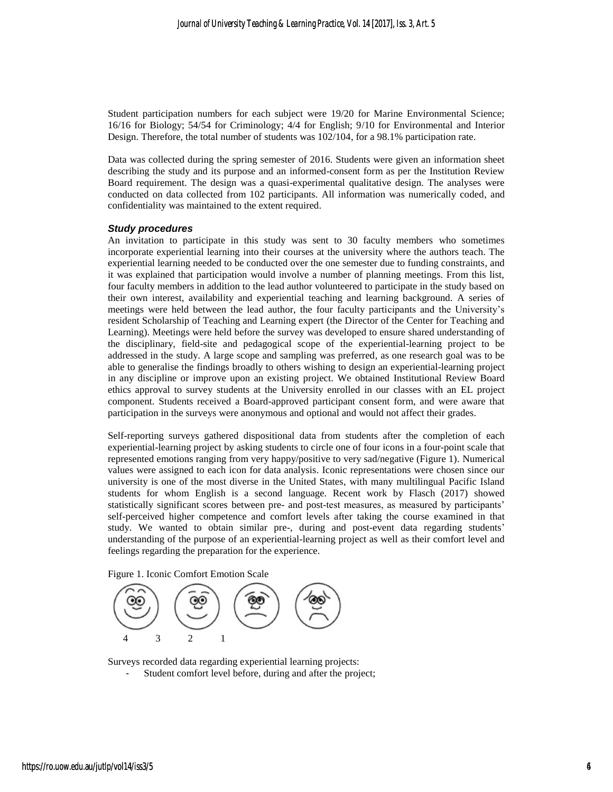Student participation numbers for each subject were 19/20 for Marine Environmental Science; 16/16 for Biology; 54/54 for Criminology; 4/4 for English; 9/10 for Environmental and Interior Design. Therefore, the total number of students was 102/104, for a 98.1% participation rate.

Data was collected during the spring semester of 2016. Students were given an information sheet describing the study and its purpose and an informed-consent form as per the Institution Review Board requirement. The design was a quasi-experimental qualitative design. The analyses were conducted on data collected from 102 participants. All information was numerically coded, and confidentiality was maintained to the extent required.

#### *Study procedures*

An invitation to participate in this study was sent to 30 faculty members who sometimes incorporate experiential learning into their courses at the university where the authors teach. The experiential learning needed to be conducted over the one semester due to funding constraints, and it was explained that participation would involve a number of planning meetings. From this list, four faculty members in addition to the lead author volunteered to participate in the study based on their own interest, availability and experiential teaching and learning background. A series of meetings were held between the lead author, the four faculty participants and the University's resident Scholarship of Teaching and Learning expert (the Director of the Center for Teaching and Learning). Meetings were held before the survey was developed to ensure shared understanding of the disciplinary, field-site and pedagogical scope of the experiential-learning project to be addressed in the study. A large scope and sampling was preferred, as one research goal was to be able to generalise the findings broadly to others wishing to design an experiential-learning project in any discipline or improve upon an existing project. We obtained Institutional Review Board ethics approval to survey students at the University enrolled in our classes with an EL project component. Students received a Board-approved participant consent form, and were aware that participation in the surveys were anonymous and optional and would not affect their grades.

Self-reporting surveys gathered dispositional data from students after the completion of each experiential-learning project by asking students to circle one of four icons in a four-point scale that represented emotions ranging from very happy/positive to very sad/negative (Figure 1). Numerical values were assigned to each icon for data analysis. Iconic representations were chosen since our university is one of the most diverse in the United States, with many multilingual Pacific Island students for whom English is a second language. Recent work by Flasch (2017) showed statistically significant scores between pre- and post-test measures, as measured by participants' self-perceived higher competence and comfort levels after taking the course examined in that study. We wanted to obtain similar pre-, during and post-event data regarding students' understanding of the purpose of an experiential-learning project as well as their comfort level and feelings regarding the preparation for the experience.

Figure 1. Iconic Comfort Emotion Scale



Surveys recorded data regarding experiential learning projects:

Student comfort level before, during and after the project;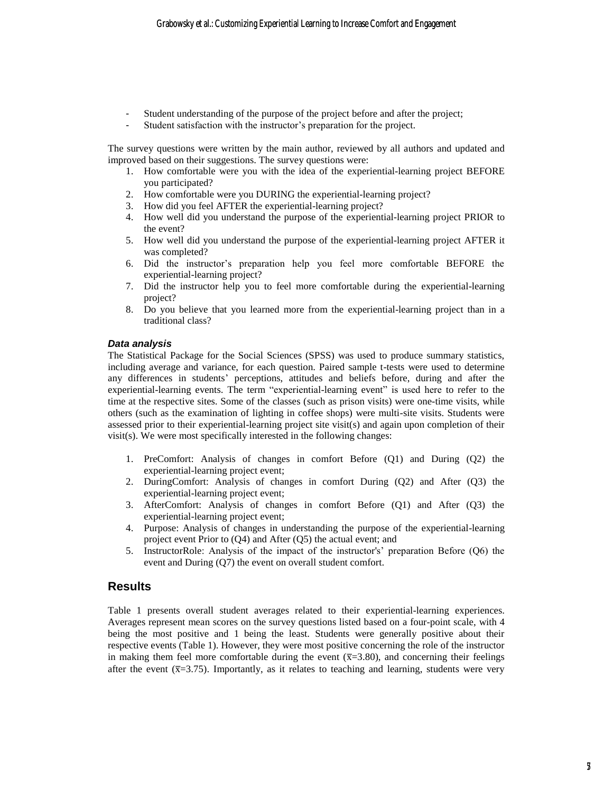- Student understanding of the purpose of the project before and after the project;
- Student satisfaction with the instructor's preparation for the project.

The survey questions were written by the main author, reviewed by all authors and updated and improved based on their suggestions. The survey questions were:

- 1. How comfortable were you with the idea of the experiential-learning project BEFORE you participated?
- 2. How comfortable were you DURING the experiential-learning project?
- 3. How did you feel AFTER the experiential-learning project?
- 4. How well did you understand the purpose of the experiential-learning project PRIOR to the event?
- 5. How well did you understand the purpose of the experiential-learning project AFTER it was completed?
- 6. Did the instructor's preparation help you feel more comfortable BEFORE the experiential-learning project?
- 7. Did the instructor help you to feel more comfortable during the experiential-learning project?
- 8. Do you believe that you learned more from the experiential-learning project than in a traditional class?

#### *Data analysis*

The Statistical Package for the Social Sciences (SPSS) was used to produce summary statistics, including average and variance, for each question. Paired sample t-tests were used to determine any differences in students' perceptions, attitudes and beliefs before, during and after the experiential-learning events. The term "experiential-learning event" is used here to refer to the time at the respective sites. Some of the classes (such as prison visits) were one-time visits, while others (such as the examination of lighting in coffee shops) were multi-site visits. Students were assessed prior to their experiential-learning project site visit(s) and again upon completion of their visit(s). We were most specifically interested in the following changes:

- 1. PreComfort: Analysis of changes in comfort Before (Q1) and During (Q2) the experiential-learning project event;
- 2. DuringComfort: Analysis of changes in comfort During (Q2) and After (Q3) the experiential-learning project event;
- 3. AfterComfort: Analysis of changes in comfort Before (Q1) and After (Q3) the experiential-learning project event;
- 4. Purpose: Analysis of changes in understanding the purpose of the experiential-learning project event Prior to (Q4) and After (Q5) the actual event; and
- 5. InstructorRole: Analysis of the impact of the instructor's' preparation Before (Q6) the event and During (Q7) the event on overall student comfort.

## **Results**

Table 1 presents overall student averages related to their experiential-learning experiences. Averages represent mean scores on the survey questions listed based on a four-point scale, with 4 being the most positive and 1 being the least. Students were generally positive about their respective events (Table 1). However, they were most positive concerning the role of the instructor in making them feel more comfortable during the event  $(\bar{x}=3.80)$ , and concerning their feelings after the event  $(\overline{x}=3.75)$ . Importantly, as it relates to teaching and learning, students were very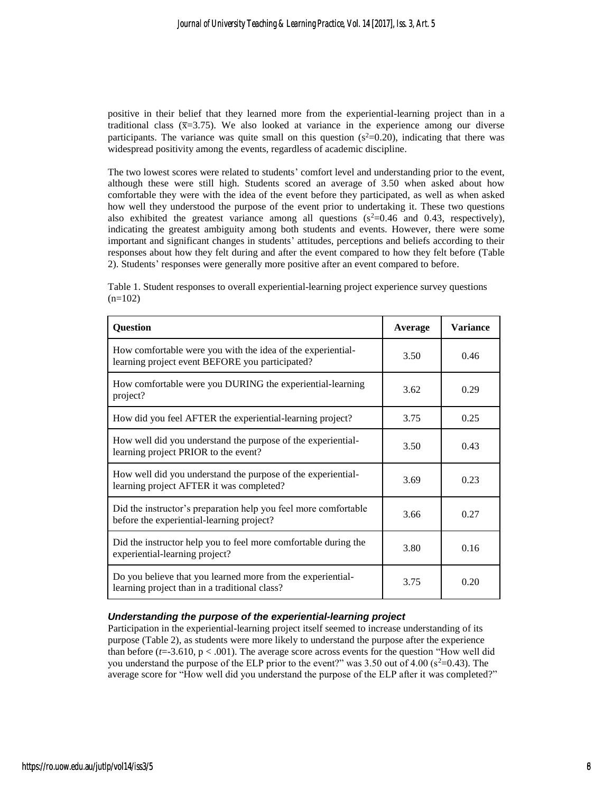positive in their belief that they learned more from the experiential-learning project than in a traditional class  $(\bar{x}=3.75)$ . We also looked at variance in the experience among our diverse participants. The variance was quite small on this question ( $s^2=0.20$ ), indicating that there was widespread positivity among the events, regardless of academic discipline.

The two lowest scores were related to students' comfort level and understanding prior to the event, although these were still high. Students scored an average of 3.50 when asked about how comfortable they were with the idea of the event before they participated, as well as when asked how well they understood the purpose of the event prior to undertaking it. These two questions also exhibited the greatest variance among all questions  $(s^2=0.46$  and 0.43, respectively), indicating the greatest ambiguity among both students and events. However, there were some important and significant changes in students' attitudes, perceptions and beliefs according to their responses about how they felt during and after the event compared to how they felt before (Table 2). Students' responses were generally more positive after an event compared to before.

| Table 1. Student responses to overall experiential-learning project experience survey questions |  |
|-------------------------------------------------------------------------------------------------|--|
| $(n=102)$                                                                                       |  |

| <b>Question</b>                                                                                                | Average | <b>Variance</b> |
|----------------------------------------------------------------------------------------------------------------|---------|-----------------|
| How comfortable were you with the idea of the experiential-<br>learning project event BEFORE you participated? | 3.50    | 0.46            |
| How comfortable were you DURING the experiential-learning<br>project?                                          | 3.62    | 0.29            |
| How did you feel AFTER the experiential-learning project?                                                      | 3.75    | 0.25            |
| How well did you understand the purpose of the experiential-<br>learning project PRIOR to the event?           | 3.50    | 0.43            |
| How well did you understand the purpose of the experiential-<br>learning project AFTER it was completed?       | 3.69    | 0.23            |
| Did the instructor's preparation help you feel more comfortable<br>before the experiential-learning project?   | 3.66    | 0.27            |
| Did the instructor help you to feel more comfortable during the<br>experiential-learning project?              | 3.80    | 0.16            |
| Do you believe that you learned more from the experiential-<br>learning project than in a traditional class?   | 3.75    | 0.20            |

### *Understanding the purpose of the experiential-learning project*

Participation in the experiential-learning project itself seemed to increase understanding of its purpose (Table 2), as students were more likely to understand the purpose after the experience than before  $(t=3.610, p<.001)$ . The average score across events for the question "How well did you understand the purpose of the ELP prior to the event?" was  $3.50$  out of  $4.00$  ( $s^2=0.43$ ). The average score for "How well did you understand the purpose of the ELP after it was completed?"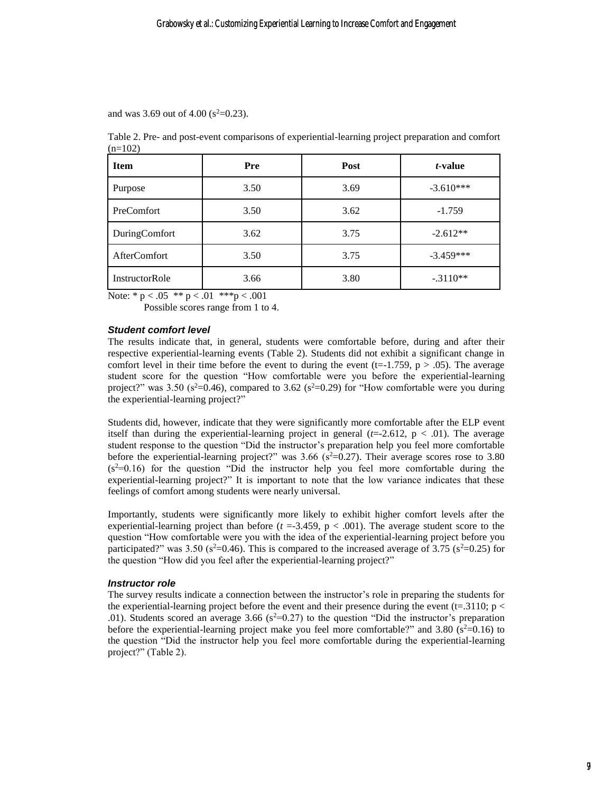and was 3.69 out of 4.00 ( $s^2$ =0.23).

Table 2. Pre- and post-event comparisons of experiential-learning project preparation and comfort  $(n=102)$ 

| <b>Item</b>         | <b>Pre</b> | Post | <i>t</i> -value |
|---------------------|------------|------|-----------------|
| Purpose             | 3.50       | 3.69 | $-3.610***$     |
| PreComfort          | 3.50       | 3.62 | $-1.759$        |
| DuringComfort       | 3.62       | 3.75 | $-2.612**$      |
| <b>AfterComfort</b> | 3.50       | 3.75 | $-3.459***$     |
| InstructorRole      | 3.66       | 3.80 | $-.3110**$      |

Note: \*  $p < .05$  \*\*  $p < .01$  \*\*\*  $p < .001$ 

Possible scores range from 1 to 4.

#### *Student comfort level*

The results indicate that, in general, students were comfortable before, during and after their respective experiential-learning events (Table 2). Students did not exhibit a significant change in comfort level in their time before the event to during the event  $(t=-1.759, p > .05)$ . The average student score for the question "How comfortable were you before the experiential-learning project?" was 3.50 ( $s^2$ =0.46), compared to 3.62 ( $s^2$ =0.29) for "How comfortable were you during the experiential-learning project?"

Students did, however, indicate that they were significantly more comfortable after the ELP event itself than during the experiential-learning project in general  $(t=2.612, p < .01)$ . The average student response to the question "Did the instructor's preparation help you feel more comfortable before the experiential-learning project?" was 3.66 ( $s^2=0.27$ ). Their average scores rose to 3.80  $(s^2=0.16)$  for the question "Did the instructor help you feel more comfortable during the experiential-learning project?" It is important to note that the low variance indicates that these feelings of comfort among students were nearly universal.

Importantly, students were significantly more likely to exhibit higher comfort levels after the experiential-learning project than before  $(t = -3.459, p < .001)$ . The average student score to the question "How comfortable were you with the idea of the experiential-learning project before you participated?" was 3.50 (s<sup>2</sup>=0.46). This is compared to the increased average of 3.75 (s<sup>2</sup>=0.25) for the question "How did you feel after the experiential-learning project?"

#### *Instructor role*

The survey results indicate a connection between the instructor's role in preparing the students for the experiential-learning project before the event and their presence during the event (t=.3110;  $p <$ .01). Students scored an average 3.66 ( $s^2=0.27$ ) to the question "Did the instructor's preparation before the experiential-learning project make you feel more comfortable?" and  $3.80$  ( $s<sup>2</sup>=0.16$ ) to the question "Did the instructor help you feel more comfortable during the experiential-learning project?" (Table 2).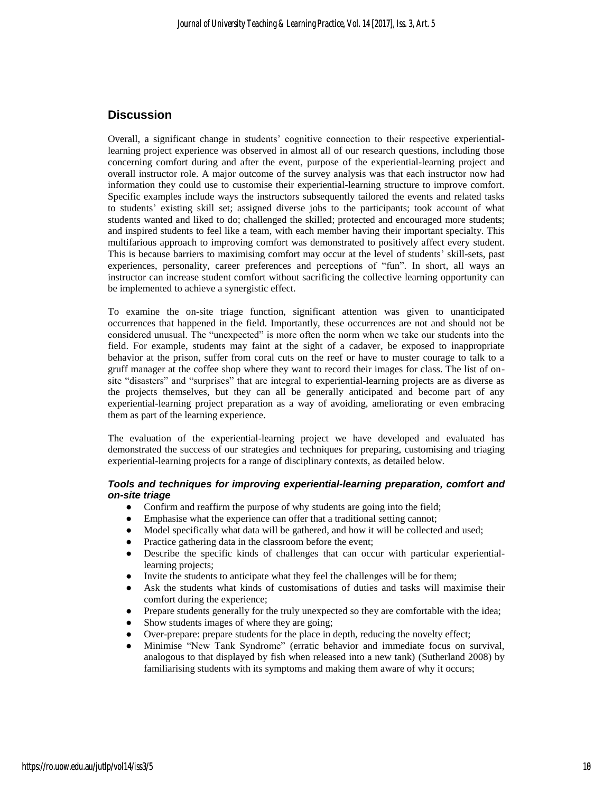## **Discussion**

Overall, a significant change in students' cognitive connection to their respective experientiallearning project experience was observed in almost all of our research questions, including those concerning comfort during and after the event, purpose of the experiential-learning project and overall instructor role. A major outcome of the survey analysis was that each instructor now had information they could use to customise their experiential-learning structure to improve comfort. Specific examples include ways the instructors subsequently tailored the events and related tasks to students' existing skill set; assigned diverse jobs to the participants; took account of what students wanted and liked to do; challenged the skilled; protected and encouraged more students; and inspired students to feel like a team, with each member having their important specialty. This multifarious approach to improving comfort was demonstrated to positively affect every student. This is because barriers to maximising comfort may occur at the level of students' skill-sets, past experiences, personality, career preferences and perceptions of "fun". In short, all ways an instructor can increase student comfort without sacrificing the collective learning opportunity can be implemented to achieve a synergistic effect.

To examine the on-site triage function, significant attention was given to unanticipated occurrences that happened in the field. Importantly, these occurrences are not and should not be considered unusual. The "unexpected" is more often the norm when we take our students into the field. For example, students may faint at the sight of a cadaver, be exposed to inappropriate behavior at the prison, suffer from coral cuts on the reef or have to muster courage to talk to a gruff manager at the coffee shop where they want to record their images for class. The list of onsite "disasters" and "surprises" that are integral to experiential-learning projects are as diverse as the projects themselves, but they can all be generally anticipated and become part of any experiential-learning project preparation as a way of avoiding, ameliorating or even embracing them as part of the learning experience.

The evaluation of the experiential-learning project we have developed and evaluated has demonstrated the success of our strategies and techniques for preparing, customising and triaging experiential-learning projects for a range of disciplinary contexts, as detailed below.

#### *Tools and techniques for improving experiential-learning preparation, comfort and on-site triage*

- Confirm and reaffirm the purpose of why students are going into the field;
- Emphasise what the experience can offer that a traditional setting cannot;
- Model specifically what data will be gathered, and how it will be collected and used;
- Practice gathering data in the classroom before the event;
- Describe the specific kinds of challenges that can occur with particular experientiallearning projects;
- Invite the students to anticipate what they feel the challenges will be for them;
- Ask the students what kinds of customisations of duties and tasks will maximise their comfort during the experience;
- Prepare students generally for the truly unexpected so they are comfortable with the idea;
- Show students images of where they are going;
- Over-prepare: prepare students for the place in depth, reducing the novelty effect;
- Minimise "New Tank Syndrome" (erratic behavior and immediate focus on survival, analogous to that displayed by fish when released into a new tank) (Sutherland 2008) by familiarising students with its symptoms and making them aware of why it occurs;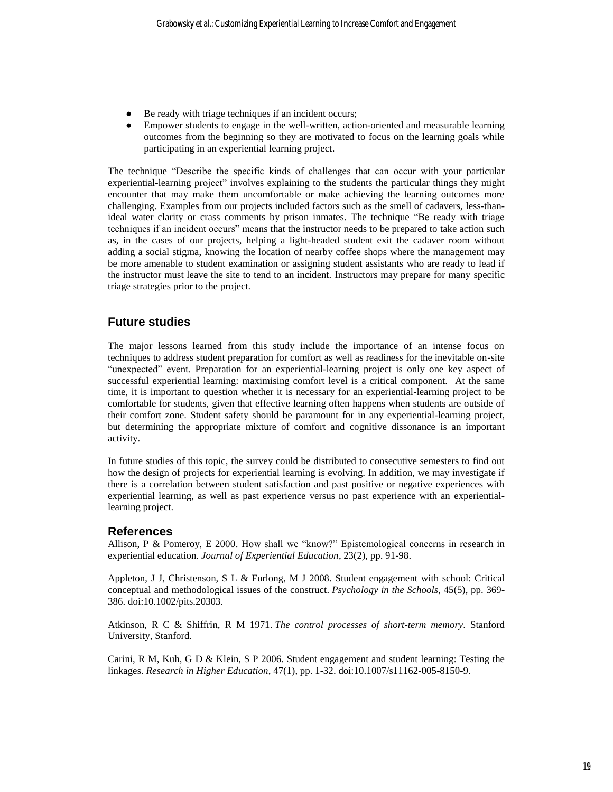- Be ready with triage techniques if an incident occurs;
- Empower students to engage in the well-written, action-oriented and measurable learning outcomes from the beginning so they are motivated to focus on the learning goals while participating in an experiential learning project.

The technique "Describe the specific kinds of challenges that can occur with your particular experiential-learning project" involves explaining to the students the particular things they might encounter that may make them uncomfortable or make achieving the learning outcomes more challenging. Examples from our projects included factors such as the smell of cadavers, less-thanideal water clarity or crass comments by prison inmates. The technique "Be ready with triage techniques if an incident occurs" means that the instructor needs to be prepared to take action such as, in the cases of our projects, helping a light-headed student exit the cadaver room without adding a social stigma, knowing the location of nearby coffee shops where the management may be more amenable to student examination or assigning student assistants who are ready to lead if the instructor must leave the site to tend to an incident. Instructors may prepare for many specific triage strategies prior to the project.

## **Future studies**

The major lessons learned from this study include the importance of an intense focus on techniques to address student preparation for comfort as well as readiness for the inevitable on-site "unexpected" event. Preparation for an experiential-learning project is only one key aspect of successful experiential learning: maximising comfort level is a critical component. At the same time, it is important to question whether it is necessary for an experiential-learning project to be comfortable for students, given that effective learning often happens when students are outside of their comfort zone. Student safety should be paramount for in any experiential-learning project, but determining the appropriate mixture of comfort and cognitive dissonance is an important activity.

In future studies of this topic, the survey could be distributed to consecutive semesters to find out how the design of projects for experiential learning is evolving. In addition, we may investigate if there is a correlation between student satisfaction and past positive or negative experiences with experiential learning, as well as past experience versus no past experience with an experientiallearning project.

### **References**

Allison, P & Pomeroy, E 2000. How shall we "know?" Epistemological concerns in research in experiential education. *Journal of Experiential Education*, 23(2), pp. 91-98.

Appleton, J J, Christenson, S L & Furlong, M J 2008. Student engagement with school: Critical conceptual and methodological issues of the construct. *Psychology in the Schools*, 45(5), pp. 369- 386. doi:10.1002/pits.20303.

Atkinson, R C & Shiffrin, R M 1971. *The control processes of short-term memory*. Stanford University, Stanford.

Carini, R M, Kuh, G D & Klein, S P 2006. Student engagement and student learning: Testing the linkages. *Research in Higher Education*, 47(1), pp. 1-32. doi:10.1007/s11162-005-8150-9.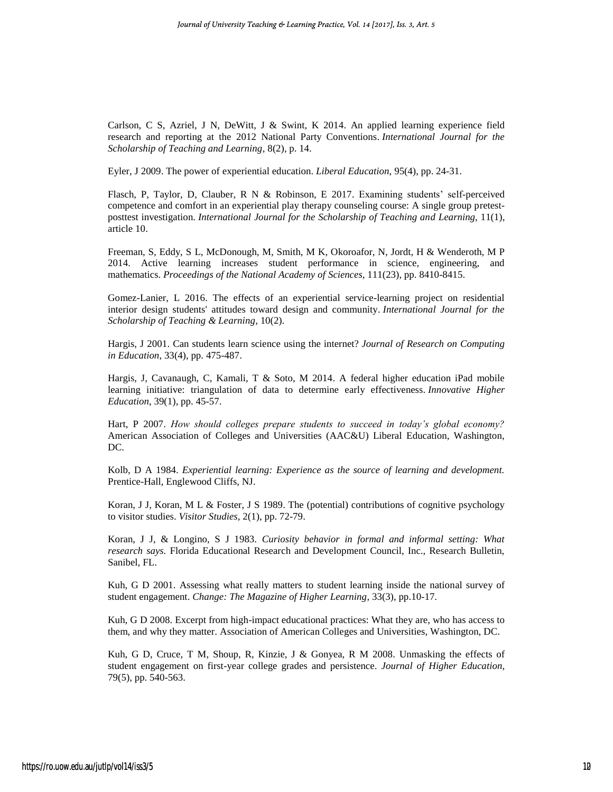Carlson, C S, Azriel, J N, DeWitt, J & Swint, K 2014. An applied learning experience field research and reporting at the 2012 National Party Conventions. *International Journal for the Scholarship of Teaching and Learning*, 8(2), p. 14.

Eyler, J 2009. The power of experiential education. *Liberal Education*, 95(4), pp. 24-31.

Flasch, P, Taylor, D, Clauber, R N & Robinson, E 2017. Examining students' self-perceived competence and comfort in an experiential play therapy counseling course: A single group pretestposttest investigation. *International Journal for the Scholarship of Teaching and Learning*, 11(1), article 10.

Freeman, S, Eddy, S L, McDonough, M, Smith, M K, Okoroafor, N, Jordt, H & Wenderoth, M P 2014. Active learning increases student performance in science, engineering, and mathematics. *Proceedings of the National Academy of Sciences*, 111(23), pp. 8410-8415.

Gomez-Lanier, L 2016. The effects of an experiential service-learning project on residential interior design students' attitudes toward design and community. *International Journal for the Scholarship of Teaching & Learning*, 10(2).

Hargis, J 2001. Can students learn science using the internet? *Journal of Research on Computing in Education*, 33(4), pp. 475-487.

Hargis, J, Cavanaugh, C, Kamali, T & Soto, M 2014. A federal higher education iPad mobile learning initiative: triangulation of data to determine early effectiveness. *Innovative Higher Education*, 39(1), pp. 45-57.

Hart, P 2007. *How should colleges prepare students to succeed in today's global economy?* American Association of Colleges and Universities (AAC&U) Liberal Education, Washington, DC.

Kolb, D A 1984. *Experiential learning: Experience as the source of learning and development.* Prentice-Hall, Englewood Cliffs, NJ.

Koran, J J, Koran, M L & Foster, J S 1989. The (potential) contributions of cognitive psychology to visitor studies. *Visitor Studies*, 2(1), pp. 72-79.

Koran, J J, & Longino, S J 1983. *Curiosity behavior in formal and informal setting: What research says.* Florida Educational Research and Development Council, Inc., Research Bulletin, Sanibel, FL.

Kuh, G D 2001. Assessing what really matters to student learning inside the national survey of student engagement. *Change: The Magazine of Higher Learning*, 33(3), pp.10-17.

Kuh, G D 2008. Excerpt from high-impact educational practices: What they are, who has access to them, and why they matter. Association of American Colleges and Universities, Washington, DC.

Kuh, G D, Cruce, T M, Shoup, R, Kinzie, J & Gonyea, R M 2008. Unmasking the effects of student engagement on first-year college grades and persistence. *Journal of Higher Education*, 79(5), pp. 540-563.